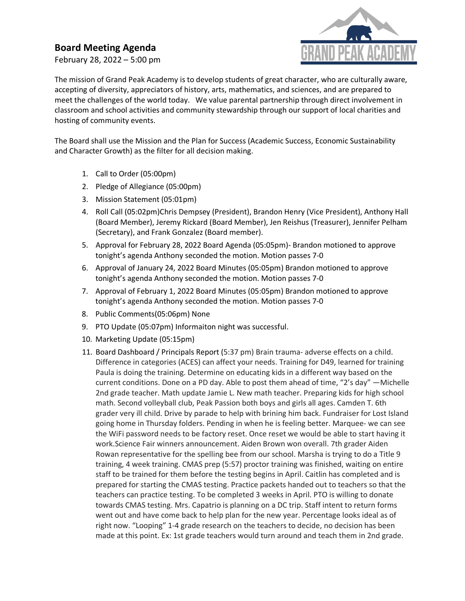## **Board Meeting Agenda**

February 28, 2022 – 5:00 pm



The mission of Grand Peak Academy is to develop students of great character, who are culturally aware, accepting of diversity, appreciators of history, arts, mathematics, and sciences, and are prepared to meet the challenges of the world today. We value parental partnership through direct involvement in classroom and school activities and community stewardship through our support of local charities and hosting of community events.

The Board shall use the Mission and the Plan for Success (Academic Success, Economic Sustainability and Character Growth) as the filter for all decision making.

- 1. Call to Order (05:00pm)
- 2. Pledge of Allegiance (05:00pm)
- 3. Mission Statement (05:01pm)
- 4. Roll Call (05:02pm)Chris Dempsey (President), Brandon Henry (Vice President), Anthony Hall (Board Member), Jeremy Rickard (Board Member), Jen Reishus (Treasurer), Jennifer Pelham (Secretary), and Frank Gonzalez (Board member).
- 5. Approval for February 28, 2022 Board Agenda (05:05pm)- Brandon motioned to approve tonight's agenda Anthony seconded the motion. Motion passes 7-0
- 6. Approval of January 24, 2022 Board Minutes (05:05pm) Brandon motioned to approve tonight's agenda Anthony seconded the motion. Motion passes 7-0
- 7. Approval of February 1, 2022 Board Minutes (05:05pm) Brandon motioned to approve tonight's agenda Anthony seconded the motion. Motion passes 7-0
- 8. Public Comments(05:06pm) None
- 9. PTO Update (05:07pm) Informaiton night was successful.
- 10. Marketing Update (05:15pm)
- 11. Board Dashboard / Principals Report (5:37 pm) Brain trauma- adverse effects on a child. Difference in categories (ACES) can affect your needs. Training for D49, learned for training Paula is doing the training. Determine on educating kids in a different way based on the current conditions. Done on a PD day. Able to post them ahead of time, "2's day" —Michelle 2nd grade teacher. Math update Jamie L. New math teacher. Preparing kids for high school math. Second volleyball club, Peak Passion both boys and girls all ages. Camden T. 6th grader very ill child. Drive by parade to help with brining him back. Fundraiser for Lost Island going home in Thursday folders. Pending in when he is feeling better. Marquee- we can see the WiFi password needs to be factory reset. Once reset we would be able to start having it work.Science Fair winners announcement. Aiden Brown won overall. 7th grader Aiden Rowan representative for the spelling bee from our school. Marsha is trying to do a Title 9 training, 4 week training. CMAS prep (5:57) proctor training was finished, waiting on entire staff to be trained for them before the testing begins in April. Caitlin has completed and is prepared for starting the CMAS testing. Practice packets handed out to teachers so that the teachers can practice testing. To be completed 3 weeks in April. PTO is willing to donate towards CMAS testing. Mrs. Capatrio is planning on a DC trip. Staff intent to return forms went out and have come back to help plan for the new year. Percentage looks ideal as of right now. "Looping" 1-4 grade research on the teachers to decide, no decision has been made at this point. Ex: 1st grade teachers would turn around and teach them in 2nd grade.